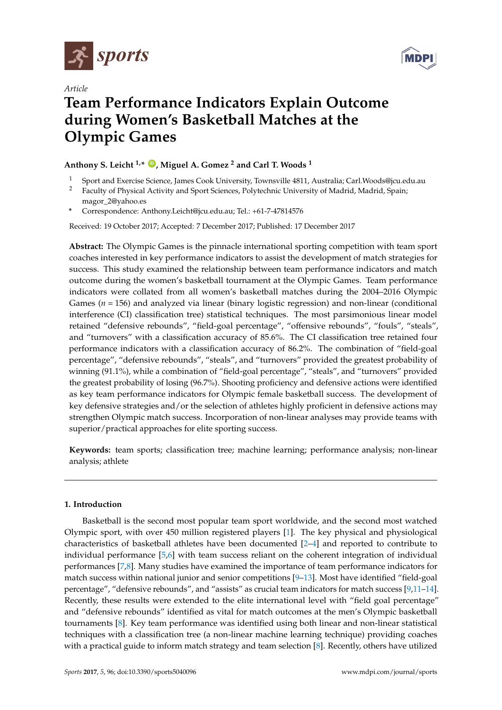



# *Article*

# **Team Performance Indicators Explain Outcome during Women's Basketball Matches at the Olympic Games**

# **Anthony S. Leicht 1,\* [ID](https://orcid.org/0000-0002-0537-5392) , Miguel A. Gomez <sup>2</sup> and Carl T. Woods <sup>1</sup>**

- <sup>1</sup> Sport and Exercise Science, James Cook University, Townsville 4811, Australia; Carl.Woods@jcu.edu.au<br><sup>2</sup> Exculty of Physical Activity and Sport Sciences, Polytechnic University of Madrid, Madrid, Spain:
- <sup>2</sup> Faculty of Physical Activity and Sport Sciences, Polytechnic University of Madrid, Madrid, Spain; magor\_2@yahoo.es
- **\*** Correspondence: Anthony.Leicht@jcu.edu.au; Tel.: +61-7-47814576

Received: 19 October 2017; Accepted: 7 December 2017; Published: 17 December 2017

**Abstract:** The Olympic Games is the pinnacle international sporting competition with team sport coaches interested in key performance indicators to assist the development of match strategies for success. This study examined the relationship between team performance indicators and match outcome during the women's basketball tournament at the Olympic Games. Team performance indicators were collated from all women's basketball matches during the 2004–2016 Olympic Games (*n* = 156) and analyzed via linear (binary logistic regression) and non-linear (conditional interference (CI) classification tree) statistical techniques. The most parsimonious linear model retained "defensive rebounds", "field-goal percentage", "offensive rebounds", "fouls", "steals", and "turnovers" with a classification accuracy of 85.6%. The CI classification tree retained four performance indicators with a classification accuracy of 86.2%. The combination of "field-goal percentage", "defensive rebounds", "steals", and "turnovers" provided the greatest probability of winning (91.1%), while a combination of "field-goal percentage", "steals", and "turnovers" provided the greatest probability of losing (96.7%). Shooting proficiency and defensive actions were identified as key team performance indicators for Olympic female basketball success. The development of key defensive strategies and/or the selection of athletes highly proficient in defensive actions may strengthen Olympic match success. Incorporation of non-linear analyses may provide teams with superior/practical approaches for elite sporting success.

**Keywords:** team sports; classification tree; machine learning; performance analysis; non-linear analysis; athlete

### **1. Introduction**

Basketball is the second most popular team sport worldwide, and the second most watched Olympic sport, with over 450 million registered players [\[1\]](#page-5-0). The key physical and physiological characteristics of basketball athletes have been documented [\[2](#page-5-1)[–4\]](#page-5-2) and reported to contribute to individual performance [\[5,](#page-5-3)[6\]](#page-6-0) with team success reliant on the coherent integration of individual performances [\[7,](#page-6-1)[8\]](#page-6-2). Many studies have examined the importance of team performance indicators for match success within national junior and senior competitions [\[9](#page-6-3)[–13\]](#page-6-4). Most have identified "field-goal percentage", "defensive rebounds", and "assists" as crucial team indicators for match success [\[9,](#page-6-3)[11–](#page-6-5)[14\]](#page-6-6). Recently, these results were extended to the elite international level with "field goal percentage" and "defensive rebounds" identified as vital for match outcomes at the men's Olympic basketball tournaments [\[8\]](#page-6-2). Key team performance was identified using both linear and non-linear statistical techniques with a classification tree (a non-linear machine learning technique) providing coaches with a practical guide to inform match strategy and team selection [\[8\]](#page-6-2). Recently, others have utilized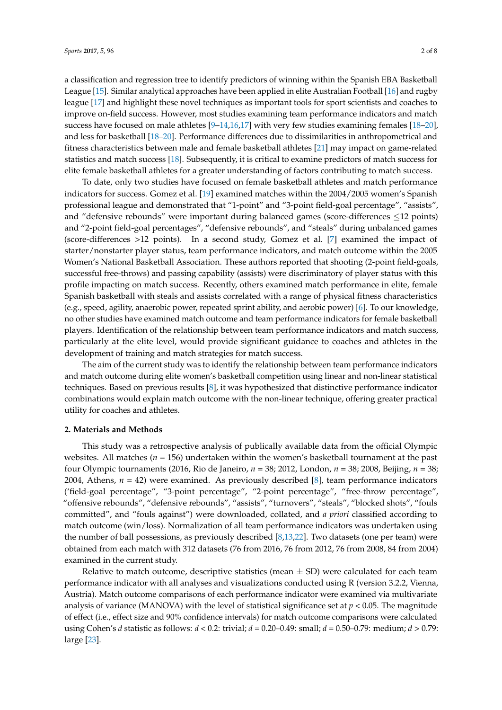a classification and regression tree to identify predictors of winning within the Spanish EBA Basketball League [\[15\]](#page-6-7). Similar analytical approaches have been applied in elite Australian Football [\[16\]](#page-6-8) and rugby league [\[17\]](#page-6-9) and highlight these novel techniques as important tools for sport scientists and coaches to improve on-field success. However, most studies examining team performance indicators and match success have focused on male athletes [\[9](#page-6-3)[–14](#page-6-6)[,16](#page-6-8)[,17\]](#page-6-9) with very few studies examining females [\[18](#page-6-10)[–20\]](#page-6-11), and less for basketball [\[18](#page-6-10)[–20\]](#page-6-11). Performance differences due to dissimilarities in anthropometrical and fitness characteristics between male and female basketball athletes [\[21\]](#page-6-12) may impact on game-related statistics and match success [\[18\]](#page-6-10). Subsequently, it is critical to examine predictors of match success for elite female basketball athletes for a greater understanding of factors contributing to match success.

To date, only two studies have focused on female basketball athletes and match performance indicators for success. Gomez et al. [\[19\]](#page-6-13) examined matches within the 2004/2005 women's Spanish professional league and demonstrated that "1-point" and "3-point field-goal percentage", "assists", and "defensive rebounds" were important during balanced games (score-differences ≤12 points) and "2-point field-goal percentages", "defensive rebounds", and "steals" during unbalanced games (score-differences >12 points). In a second study, Gomez et al. [\[7\]](#page-6-1) examined the impact of starter/nonstarter player status, team performance indicators, and match outcome within the 2005 Women's National Basketball Association. These authors reported that shooting (2-point field-goals, successful free-throws) and passing capability (assists) were discriminatory of player status with this profile impacting on match success. Recently, others examined match performance in elite, female Spanish basketball with steals and assists correlated with a range of physical fitness characteristics (e.g., speed, agility, anaerobic power, repeated sprint ability, and aerobic power) [\[6\]](#page-6-0). To our knowledge, no other studies have examined match outcome and team performance indicators for female basketball players. Identification of the relationship between team performance indicators and match success, particularly at the elite level, would provide significant guidance to coaches and athletes in the development of training and match strategies for match success.

The aim of the current study was to identify the relationship between team performance indicators and match outcome during elite women's basketball competition using linear and non-linear statistical techniques. Based on previous results [\[8\]](#page-6-2), it was hypothesized that distinctive performance indicator combinations would explain match outcome with the non-linear technique, offering greater practical utility for coaches and athletes.

#### **2. Materials and Methods**

This study was a retrospective analysis of publically available data from the official Olympic websites. All matches (*n* = 156) undertaken within the women's basketball tournament at the past four Olympic tournaments (2016, Rio de Janeiro, *n* = 38; 2012, London, *n* = 38; 2008, Beijing, *n* = 38; 2004, Athens, *n* = 42) were examined. As previously described [\[8\]](#page-6-2), team performance indicators ('field-goal percentage", "3-point percentage", "2-point percentage", "free-throw percentage", "offensive rebounds", "defensive rebounds", "assists", "turnovers", "steals", "blocked shots", "fouls committed", and "fouls against") were downloaded, collated, and *a priori* classified according to match outcome (win/loss). Normalization of all team performance indicators was undertaken using the number of ball possessions, as previously described [\[8](#page-6-2)[,13](#page-6-4)[,22\]](#page-6-14). Two datasets (one per team) were obtained from each match with 312 datasets (76 from 2016, 76 from 2012, 76 from 2008, 84 from 2004) examined in the current study.

Relative to match outcome, descriptive statistics (mean  $\pm$  SD) were calculated for each team performance indicator with all analyses and visualizations conducted using R (version 3.2.2, Vienna, Austria). Match outcome comparisons of each performance indicator were examined via multivariate analysis of variance (MANOVA) with the level of statistical significance set at  $p < 0.05$ . The magnitude of effect (i.e., effect size and 90% confidence intervals) for match outcome comparisons were calculated using Cohen's *d* statistic as follows: *d* < 0.2: trivial; *d* = 0.20–0.49: small; *d* = 0.50–0.79: medium; *d* > 0.79: large [\[23\]](#page-6-15).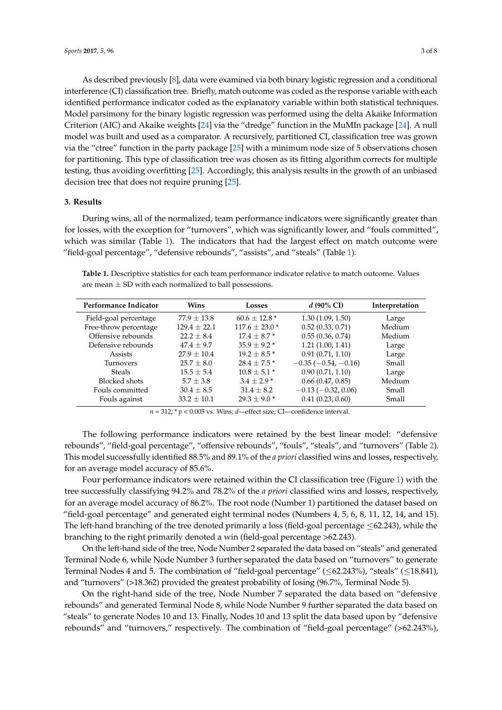As described previously [\[8\]](#page-6-2), data were examined via both binary logistic regression and a conditional interference (CI) classification tree. Briefly, match outcome was coded as the response variable with each identified performance indicator coded as the explanatory variable within both statistical techniques. Model parsimony for the binary logistic regression was performed using the delta Akaike Information Criterion (AIC) and Akaike weights [\[24\]](#page-6-16) via the "dredge" function in the MuMIn package [\[24\]](#page-6-16). A null model was built and used as a comparator. A recursively, partitioned CI, classification tree was grown via the "ctree" function in the party package [\[25\]](#page-6-17) with a minimum node size of 5 observations chosen for partitioning. This type of classification tree was chosen as its fitting algorithm corrects for multiple testing, thus avoiding overfitting [\[25\]](#page-6-17). Accordingly, this analysis results in the growth of an unbiased decision tree that does not require pruning [\[25\]](#page-6-17).

#### **3. Results**

During wins, all of the normalized, team performance indicators were significantly greater than for losses, with the exception for "turnovers", which was significantly lower, and "fouls committed", which was similar (Table [1\)](#page-2-0). The indicators that had the largest effect on match outcome were "field-goal percentage", "defensive rebounds", "assists", and "steals" (Table [1\)](#page-2-0).

<span id="page-2-0"></span>**Table 1.** Descriptive statistics for each team performance indicator relative to match outcome. Values are mean  $\pm$  SD with each normalized to ball possessions.

| <b>Performance Indicator</b> | Wins            | Losses             | $d$ (90% CI)          | Interpretation |  |
|------------------------------|-----------------|--------------------|-----------------------|----------------|--|
| Field-goal percentage        | $77.9 \pm 13.8$ | $60.6 \pm 12.8*$   | 1.30(1.09, 1.50)      | Large          |  |
| Free-throw percentage        | $129.4 + 22.1$  | $117.6 \pm 23.0$ * | 0.52(0.33, 0.71)      | Medium         |  |
| Offensive rebounds           | $22.2 + 8.4$    | $17.4 + 8.7*$      | 0.55(0.36, 0.74)      | Medium         |  |
| Defensive rebounds           | $47.4 + 9.7$    | $35.9 + 9.2*$      | 1.21(1.00, 1.41)      | Large          |  |
| <b>Assists</b>               | $27.9 \pm 10.4$ | $19.2 \pm 8.5$ *   | 0.91(0.71, 1.10)      | Large          |  |
| <b>Turnovers</b>             | $25.7 \pm 8.0$  | $28.4 + 7.5*$      | $-0.35(-0.54, -0.16)$ | Small          |  |
| <b>Steals</b>                | $15.5 \pm 5.4$  | $10.8 \pm 5.1$ *   | 0.90(0.71, 1.10)      | Large          |  |
| <b>Blocked</b> shots         | $5.7 \pm 3.8$   | $3.4 \pm 2.9$ *    | 0.66(0.47, 0.85)      | Medium         |  |
| Fouls committed              | $30.4 \pm 8.5$  | $31.4 \pm 8.2$     | $-0.13(-0.32, 0.06)$  | Small          |  |
| Fouls against                | $33.2 \pm 10.1$ | $29.3 \pm 9.0$ *   | 0.41(0.23, 0.60)      | Small          |  |

 $n = 312$ ;  $n \neq 0.005$  vs. Wins; *d*—effect size; CI—confidence interval.

The following performance indicators were retained by the best linear model: "defensive rebounds", "field-goal percentage", "offensive rebounds", "fouls", "steals", and "turnovers" (Table [2\)](#page-3-0). This model successfully identified 88.5% and 89.1% of the *a priori* classified wins and losses, respectively, for an average model accuracy of 85.6%.

Four performance indicators were retained within the CI classification tree (Figure [1\)](#page-3-1) with the tree successfully classifying 94.2% and 78.2% of the *a priori* classified wins and losses, respectively, for an average model accuracy of 86.2%. The root node (Number 1) partitioned the dataset based on "field-goal percentage" and generated eight terminal nodes (Numbers 4, 5, 6, 8, 11, 12, 14, and 15). The left-hand branching of the tree denoted primarily a loss (field-goal percentage ≤62.243), while the branching to the right primarily denoted a win (field-goal percentage >62.243).

On the left-hand side of the tree, Node Number 2 separated the data based on "steals" and generated Terminal Node 6, while Node Number 3 further separated the data based on "turnovers" to generate Terminal Nodes 4 and 5. The combination of "field-goal percentage" (≤62.243%), "steals" (≤18.841), and "turnovers" (>18.362) provided the greatest probability of losing (96.7%, Terminal Node 5).

On the right-hand side of the tree, Node Number 7 separated the data based on "defensive rebounds" and generated Terminal Node 8, while Node Number 9 further separated the data based on "steals" to generate Nodes 10 and 13. Finally, Nodes 10 and 13 split the data based upon by "defensive rebounds" and "turnovers," respectively. The combination of "field-goal percentage" (>62.243%),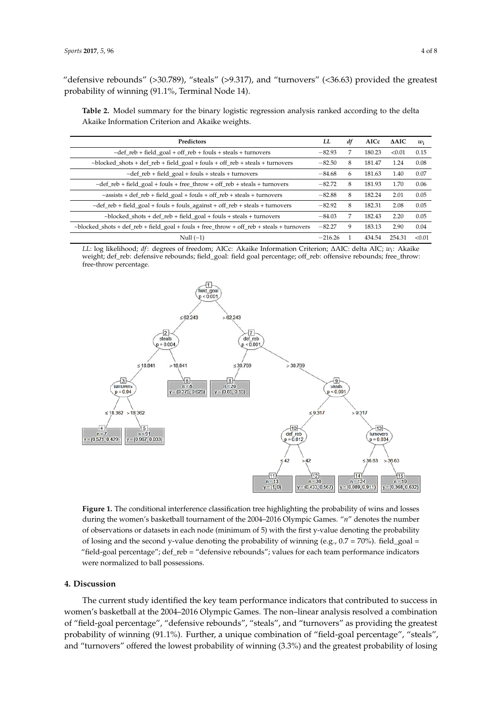"defensive rebounds" (>30.789), "steals" (>9.317), and "turnovers" (<36.63) provided the greatest probability of winning (91.1%, Terminal Node 14).

<span id="page-3-0"></span>Table 2. Model summary for the binary logistic regression analysis ranked according to the delta Akaike Information Criterion and Akaike weights.  $\sum_{i=1}^{n}$ 

| Predictors                                                                                      |           | df | AICc   | $\triangle$ AIC | $w_i$  |
|-------------------------------------------------------------------------------------------------|-----------|----|--------|-----------------|--------|
| $\sim$ def_reb + field_goal + off_reb + fouls + steals + turnovers                              |           | 7  | 180.23 | < 0.01          | 0.15   |
| $\sim$ blocked_shots + def_reb + field_goal + fouls + off_reb + steals + turnovers              |           | 8  | 181.47 | 1.24            | 0.08   |
| $\sim$ def_reb + field_goal + fouls + steals + turnovers                                        |           | 6  | 181.63 | 1.40            | 0.07   |
| $\sim$ def_reb + field_goal + fouls + free_throw + off_reb + steals + turnovers                 |           | 8  | 181.93 | 1.70            | 0.06   |
| $\sim$ assists + def_reb + field_goal + fouls + off_reb + steals + turnovers                    |           | 8  | 182.24 | 2.01            | 0.05   |
| $\sim$ def_reb + field_goal + fouls + fouls_against + off_reb + steals + turnovers              |           | 8  | 182.31 | 2.08            | 0.05   |
| $\sim$ blocked_shots + def_reb + field_goal + fouls + steals + turnovers                        |           | 7  | 182.43 | 2.20            | 0.05   |
| $\sim$ blocked_shots + def_reb + field_goal + fouls + free_throw + off_reb + steals + turnovers |           | 9  | 183.13 | 2.90            | 0.04   |
| Null $(-1)$                                                                                     | $-216.26$ |    | 434.54 | 254.31          | < 0.01 |

LL: log likelihood; df: degrees of freedom; AICc: Akaike Information Criterion; AAIC: delta AIC; w<sub>i</sub>: Akaike weight; def\_reb: defensive rebounds; field\_goal: field goal percentage; off\_reb: offensive rebounds; free\_throw:<br>. free-throw percentage.

<span id="page-3-1"></span>

**Figure 1.** The conditional interference classification tree highlighting the probability of wins and during the women's basketball tournament of the 2004–2016 Olympic Games. "*n*" denotes the number alons during the women's basketball tournament of the 2004–2016 Olympic Games. "*n*" denotes the namber of observations or datasets in each node (minimum of 5) with the first y-value denoting the probability of losing and the second y-value denoting the probability of winning  $(e.g., 0.7 = 70%)$ . field\_goal =  $p_1$  and the second  $y_1$  left and the second year  $y_1$  and  $y_2$  and  $y_3$  and  $y_4$  and  $y_5$  and  $y_6$  and  $y_7$   $\cdots$   $y_n$  is distinguished. "field-goal percentage"; def\_reb = "defensive rebounds"; values for each team performance indicators  $\frac{1}{2}$ performance indicators were normalized to ball possessions. **Figure 1.** The conditional interference classification tree highlighting the probability of wins and losses were normalized to ball possessions.

# **4. Discussion 4. Discussion**

The current study identified the key team performance indicators that contributed to success in women's basketball at the 2004–2016 Olympic Games. The non–linear analysis resolved a combination of "field-goal percentage", "defensive rebounds", "steals", and "turnovers" as providing the greatest combination of "field‐goal percentage", "defensive rebounds", "steals", and "turnovers" as probability of winning (91.1%). Further, a unique combination of "field-goal percentage", "steals", The current study identified the key team performance indicators that contributed to success in and "turnovers" offered the lowest probability of winning (3.3%) and the greatest probability of losing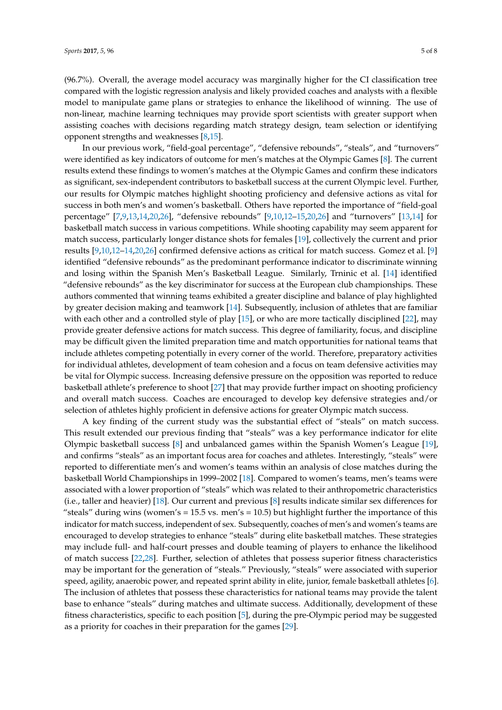(96.7%). Overall, the average model accuracy was marginally higher for the CI classification tree compared with the logistic regression analysis and likely provided coaches and analysts with a flexible model to manipulate game plans or strategies to enhance the likelihood of winning. The use of non-linear, machine learning techniques may provide sport scientists with greater support when assisting coaches with decisions regarding match strategy design, team selection or identifying opponent strengths and weaknesses [\[8](#page-6-2)[,15\]](#page-6-7).

In our previous work, "field-goal percentage", "defensive rebounds", "steals", and "turnovers" were identified as key indicators of outcome for men's matches at the Olympic Games [\[8\]](#page-6-2). The current results extend these findings to women's matches at the Olympic Games and confirm these indicators as significant, sex-independent contributors to basketball success at the current Olympic level. Further, our results for Olympic matches highlight shooting proficiency and defensive actions as vital for success in both men's and women's basketball. Others have reported the importance of "field-goal percentage" [\[7,](#page-6-1)[9,](#page-6-3)[13,](#page-6-4)[14,](#page-6-6)[20,](#page-6-11)[26\]](#page-6-18), "defensive rebounds" [\[9](#page-6-3)[,10](#page-6-19)[,12–](#page-6-20)[15](#page-6-7)[,20](#page-6-11)[,26\]](#page-6-18) and "turnovers" [\[13](#page-6-4)[,14\]](#page-6-6) for basketball match success in various competitions. While shooting capability may seem apparent for match success, particularly longer distance shots for females [\[19\]](#page-6-13), collectively the current and prior results [\[9](#page-6-3)[,10,](#page-6-19)[12](#page-6-20)[–14,](#page-6-6)[20,](#page-6-11)[26\]](#page-6-18) confirmed defensive actions as critical for match success. Gomez et al. [\[9\]](#page-6-3) identified "defensive rebounds" as the predominant performance indicator to discriminate winning and losing within the Spanish Men's Basketball League. Similarly, Trninic et al. [\[14\]](#page-6-6) identified "defensive rebounds" as the key discriminator for success at the European club championships. These authors commented that winning teams exhibited a greater discipline and balance of play highlighted by greater decision making and teamwork [\[14\]](#page-6-6). Subsequently, inclusion of athletes that are familiar with each other and a controlled style of play [\[15\]](#page-6-7), or who are more tactically disciplined [\[22\]](#page-6-14), may provide greater defensive actions for match success. This degree of familiarity, focus, and discipline may be difficult given the limited preparation time and match opportunities for national teams that include athletes competing potentially in every corner of the world. Therefore, preparatory activities for individual athletes, development of team cohesion and a focus on team defensive activities may be vital for Olympic success. Increasing defensive pressure on the opposition was reported to reduce basketball athlete's preference to shoot [\[27\]](#page-6-21) that may provide further impact on shooting proficiency and overall match success. Coaches are encouraged to develop key defensive strategies and/or selection of athletes highly proficient in defensive actions for greater Olympic match success.

A key finding of the current study was the substantial effect of "steals" on match success. This result extended our previous finding that "steals" was a key performance indicator for elite Olympic basketball success [\[8\]](#page-6-2) and unbalanced games within the Spanish Women's League [\[19\]](#page-6-13), and confirms "steals" as an important focus area for coaches and athletes. Interestingly, "steals" were reported to differentiate men's and women's teams within an analysis of close matches during the basketball World Championships in 1999–2002 [\[18\]](#page-6-10). Compared to women's teams, men's teams were associated with a lower proportion of "steals" which was related to their anthropometric characteristics (i.e., taller and heavier) [\[18\]](#page-6-10). Our current and previous [\[8\]](#page-6-2) results indicate similar sex differences for "steals" during wins (women's  $= 15.5$  vs. men's  $= 10.5$ ) but highlight further the importance of this indicator for match success, independent of sex. Subsequently, coaches of men's and women's teams are encouraged to develop strategies to enhance "steals" during elite basketball matches. These strategies may include full- and half-court presses and double teaming of players to enhance the likelihood of match success [\[22,](#page-6-14)[28\]](#page-7-0). Further, selection of athletes that possess superior fitness characteristics may be important for the generation of "steals." Previously, "steals" were associated with superior speed, agility, anaerobic power, and repeated sprint ability in elite, junior, female basketball athletes [\[6\]](#page-6-0). The inclusion of athletes that possess these characteristics for national teams may provide the talent base to enhance "steals" during matches and ultimate success. Additionally, development of these fitness characteristics, specific to each position [\[5\]](#page-5-3), during the pre-Olympic period may be suggested as a priority for coaches in their preparation for the games [\[29\]](#page-7-1).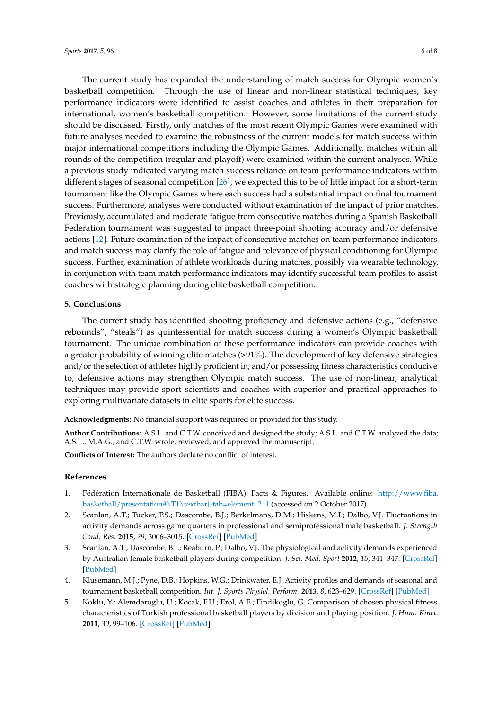The current study has expanded the understanding of match success for Olympic women's basketball competition. Through the use of linear and non-linear statistical techniques, key performance indicators were identified to assist coaches and athletes in their preparation for international, women's basketball competition. However, some limitations of the current study should be discussed. Firstly, only matches of the most recent Olympic Games were examined with future analyses needed to examine the robustness of the current models for match success within major international competitions including the Olympic Games. Additionally, matches within all rounds of the competition (regular and playoff) were examined within the current analyses. While a previous study indicated varying match success reliance on team performance indicators within different stages of seasonal competition [\[26\]](#page-6-18), we expected this to be of little impact for a short-term tournament like the Olympic Games where each success had a substantial impact on final tournament success. Furthermore, analyses were conducted without examination of the impact of prior matches. Previously, accumulated and moderate fatigue from consecutive matches during a Spanish Basketball Federation tournament was suggested to impact three-point shooting accuracy and/or defensive actions [\[12\]](#page-6-20). Future examination of the impact of consecutive matches on team performance indicators and match success may clarify the role of fatigue and relevance of physical conditioning for Olympic success. Further, examination of athlete workloads during matches, possibly via wearable technology, in conjunction with team match performance indicators may identify successful team profiles to assist coaches with strategic planning during elite basketball competition.

#### **5. Conclusions**

The current study has identified shooting proficiency and defensive actions (e.g., "defensive rebounds", "steals") as quintessential for match success during a women's Olympic basketball tournament. The unique combination of these performance indicators can provide coaches with a greater probability of winning elite matches (>91%). The development of key defensive strategies and/or the selection of athletes highly proficient in, and/or possessing fitness characteristics conducive to, defensive actions may strengthen Olympic match success. The use of non-linear, analytical techniques may provide sport scientists and coaches with superior and practical approaches to exploring multivariate datasets in elite sports for elite success.

**Acknowledgments:** No financial support was required or provided for this study.

**Author Contributions:** A.S.L. and C.T.W. conceived and designed the study; A.S.L. and C.T.W. analyzed the data; A.S.L., M.A.G., and C.T.W. wrote, reviewed, and approved the manuscript.

**Conflicts of Interest:** The authors declare no conflict of interest.

#### **References**

- <span id="page-5-0"></span>1. Fédération Internationale de Basketball (FIBA). Facts & Figures. Available online: [http://www.fiba.](http://www.fiba.basketball/presentation#\T1\textbar {}tab=element_2_1) [basketball/presentation#\T1\textbar{}tab=element\\_2\\_1](http://www.fiba.basketball/presentation#\T1\textbar {}tab=element_2_1) (accessed on 2 October 2017).
- <span id="page-5-1"></span>2. Scanlan, A.T.; Tucker, P.S.; Dascombe, B.J.; Berkelmans, D.M.; Hiskens, M.I.; Dalbo, V.J. Fluctuations in activity demands across game quarters in professional and semiprofessional male basketball. *J. Strength Cond. Res.* **2015**, *29*, 3006–3015. [\[CrossRef\]](http://dx.doi.org/10.1519/JSC.0000000000000967) [\[PubMed\]](http://www.ncbi.nlm.nih.gov/pubmed/25932983)
- 3. Scanlan, A.T.; Dascombe, B.J.; Reaburn, P.; Dalbo, V.J. The physiological and activity demands experienced by Australian female basketball players during competition. *J. Sci. Med. Sport* **2012**, *15*, 341–347. [\[CrossRef\]](http://dx.doi.org/10.1016/j.jsams.2011.12.008) [\[PubMed\]](http://www.ncbi.nlm.nih.gov/pubmed/22244965)
- <span id="page-5-2"></span>4. Klusemann, M.J.; Pyne, D.B.; Hopkins, W.G.; Drinkwater, E.J. Activity profiles and demands of seasonal and tournament basketball competition. *Int. J. Sports Physiol. Perform.* **2013**, *8*, 623–629. [\[CrossRef\]](http://dx.doi.org/10.1123/ijspp.8.6.623) [\[PubMed\]](http://www.ncbi.nlm.nih.gov/pubmed/23479394)
- <span id="page-5-3"></span>5. Koklu, Y.; Alemdaroglu, U.; Kocak, F.U.; Erol, A.E.; Findikoglu, G. Comparison of chosen physical fitness characteristics of Turkish professional basketball players by division and playing position. *J. Hum. Kinet.* **2011**, *30*, 99–106. [\[CrossRef\]](http://dx.doi.org/10.2478/v10078-011-0077-y) [\[PubMed\]](http://www.ncbi.nlm.nih.gov/pubmed/23486863)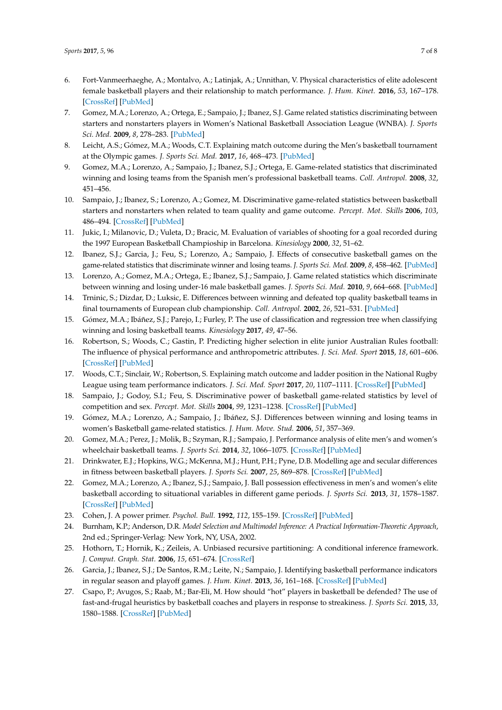- <span id="page-6-0"></span>6. Fort-Vanmeerhaeghe, A.; Montalvo, A.; Latinjak, A.; Unnithan, V. Physical characteristics of elite adolescent female basketball players and their relationship to match performance. *J. Hum. Kinet.* **2016**, *53*, 167–178. [\[CrossRef\]](http://dx.doi.org/10.1515/hukin-2016-0020) [\[PubMed\]](http://www.ncbi.nlm.nih.gov/pubmed/28149421)
- <span id="page-6-1"></span>7. Gomez, M.A.; Lorenzo, A.; Ortega, E.; Sampaio, J.; Ibanez, S.J. Game related statistics discriminating between starters and nonstarters players in Women's National Basketball Association League (WNBA). *J. Sports Sci. Med.* **2009**, *8*, 278–283. [\[PubMed\]](http://www.ncbi.nlm.nih.gov/pubmed/24149538)
- <span id="page-6-2"></span>8. Leicht, A.S.; Gómez, M.A.; Woods, C.T. Explaining match outcome during the Men's basketball tournament at the Olympic games. *J. Sports Sci. Med.* **2017**, *16*, 468–473. [\[PubMed\]](http://www.ncbi.nlm.nih.gov/pubmed/29238245)
- <span id="page-6-3"></span>9. Gomez, M.A.; Lorenzo, A.; Sampaio, J.; Ibanez, S.J.; Ortega, E. Game-related statistics that discriminated winning and losing teams from the Spanish men's professional basketball teams. *Coll. Antropol.* **2008**, *32*, 451–456.
- <span id="page-6-19"></span>10. Sampaio, J.; Ibanez, S.; Lorenzo, A.; Gomez, M. Discriminative game-related statistics between basketball starters and nonstarters when related to team quality and game outcome. *Percept. Mot. Skills* **2006**, *103*, 486–494. [\[CrossRef\]](http://dx.doi.org/10.2466/pms.103.2.486-494) [\[PubMed\]](http://www.ncbi.nlm.nih.gov/pubmed/17165413)
- <span id="page-6-5"></span>11. Jukic, I.; Milanovic, D.; Vuleta, D.; Bracic, M. Evaluation of variables of shooting for a goal recorded during the 1997 European Basketball Champioship in Barcelona. *Kinesiology* **2000**, *32*, 51–62.
- <span id="page-6-20"></span>12. Ibanez, S.J.; Garcia, J.; Feu, S.; Lorenzo, A.; Sampaio, J. Effects of consecutive basketball games on the game-related statistics that discriminate winner and losing teams. *J. Sports Sci. Med.* **2009**, *8*, 458–462. [\[PubMed\]](http://www.ncbi.nlm.nih.gov/pubmed/24150011)
- <span id="page-6-4"></span>13. Lorenzo, A.; Gomez, M.A.; Ortega, E.; Ibanez, S.J.; Sampaio, J. Game related statistics which discriminate between winning and losing under-16 male basketball games. *J. Sports Sci. Med.* **2010**, *9*, 664–668. [\[PubMed\]](http://www.ncbi.nlm.nih.gov/pubmed/24149794)
- <span id="page-6-6"></span>14. Trninic, S.; Dizdar, D.; Luksic, E. Differences between winning and defeated top quality basketball teams in final tournaments of European club championship. *Coll. Antropol.* **2002**, *26*, 521–531. [\[PubMed\]](http://www.ncbi.nlm.nih.gov/pubmed/12528276)
- <span id="page-6-7"></span>15. Gómez, M.A.; Ibáñez, S.J.; Parejo, I.; Furley, P. The use of classification and regression tree when classifying winning and losing basketball teams. *Kinesiology* **2017**, *49*, 47–56.
- <span id="page-6-8"></span>16. Robertson, S.; Woods, C.; Gastin, P. Predicting higher selection in elite junior Australian Rules football: The influence of physical performance and anthropometric attributes. *J. Sci. Med. Sport* **2015**, *18*, 601–606. [\[CrossRef\]](http://dx.doi.org/10.1016/j.jsams.2014.07.019) [\[PubMed\]](http://www.ncbi.nlm.nih.gov/pubmed/25154704)
- <span id="page-6-9"></span>17. Woods, C.T.; Sinclair, W.; Robertson, S. Explaining match outcome and ladder position in the National Rugby League using team performance indicators. *J. Sci. Med. Sport* **2017**, *20*, 1107–1111. [\[CrossRef\]](http://dx.doi.org/10.1016/j.jsams.2017.04.005) [\[PubMed\]](http://www.ncbi.nlm.nih.gov/pubmed/28479281)
- <span id="page-6-10"></span>18. Sampaio, J.; Godoy, S.I.; Feu, S. Discriminative power of basketball game-related statistics by level of competition and sex. *Percept. Mot. Skills* **2004**, *99*, 1231–1238. [\[CrossRef\]](http://dx.doi.org/10.2466/pms.99.3f.1231-1238) [\[PubMed\]](http://www.ncbi.nlm.nih.gov/pubmed/15739849)
- <span id="page-6-13"></span>19. Gómez, M.A.; Lorenzo, A.; Sampaio, J.; Ibáñez, S.J. Differences between winning and losing teams in women's Basketball game-related statistics. *J. Hum. Move. Stud.* **2006**, *51*, 357–369.
- <span id="page-6-11"></span>20. Gomez, M.A.; Perez, J.; Molik, B.; Szyman, R.J.; Sampaio, J. Performance analysis of elite men's and women's wheelchair basketball teams. *J. Sports Sci.* **2014**, *32*, 1066–1075. [\[CrossRef\]](http://dx.doi.org/10.1080/02640414.2013.879334) [\[PubMed\]](http://www.ncbi.nlm.nih.gov/pubmed/24506819)
- <span id="page-6-12"></span>21. Drinkwater, E.J.; Hopkins, W.G.; McKenna, M.J.; Hunt, P.H.; Pyne, D.B. Modelling age and secular differences in fitness between basketball players. *J. Sports Sci.* **2007**, *25*, 869–878. [\[CrossRef\]](http://dx.doi.org/10.1080/02640410600907870) [\[PubMed\]](http://www.ncbi.nlm.nih.gov/pubmed/17474040)
- <span id="page-6-14"></span>22. Gomez, M.A.; Lorenzo, A.; Ibanez, S.J.; Sampaio, J. Ball possession effectiveness in men's and women's elite basketball according to situational variables in different game periods. *J. Sports Sci.* **2013**, *31*, 1578–1587. [\[CrossRef\]](http://dx.doi.org/10.1080/02640414.2013.792942) [\[PubMed\]](http://www.ncbi.nlm.nih.gov/pubmed/23679867)
- <span id="page-6-15"></span>23. Cohen, J. A power primer. *Psychol. Bull.* **1992**, *112*, 155–159. [\[CrossRef\]](http://dx.doi.org/10.1037/0033-2909.112.1.155) [\[PubMed\]](http://www.ncbi.nlm.nih.gov/pubmed/19565683)
- <span id="page-6-16"></span>24. Burnham, K.P.; Anderson, D.R. *Model Selection and Multimodel Inference: A Practical Information-Theoretic Approach*, 2nd ed.; Springer-Verlag: New York, NY, USA, 2002.
- <span id="page-6-17"></span>25. Hothorn, T.; Hornik, K.; Zeileis, A. Unbiased recursive partitioning: A conditional inference framework. *J. Comput. Graph. Stat.* **2006**, *15*, 651–674. [\[CrossRef\]](http://dx.doi.org/10.1198/106186006X133933)
- <span id="page-6-18"></span>26. Garcia, J.; Ibanez, S.J.; De Santos, R.M.; Leite, N.; Sampaio, J. Identifying basketball performance indicators in regular season and playoff games. *J. Hum. Kinet.* **2013**, *36*, 161–168. [\[CrossRef\]](http://dx.doi.org/10.2478/hukin-2013-0016) [\[PubMed\]](http://www.ncbi.nlm.nih.gov/pubmed/23717365)
- <span id="page-6-21"></span>27. Csapo, P.; Avugos, S.; Raab, M.; Bar-Eli, M. How should "hot" players in basketball be defended? The use of fast-and-frugal heuristics by basketball coaches and players in response to streakiness. *J. Sports Sci.* **2015**, *33*, 1580–1588. [\[CrossRef\]](http://dx.doi.org/10.1080/02640414.2014.999251) [\[PubMed\]](http://www.ncbi.nlm.nih.gov/pubmed/25567138)